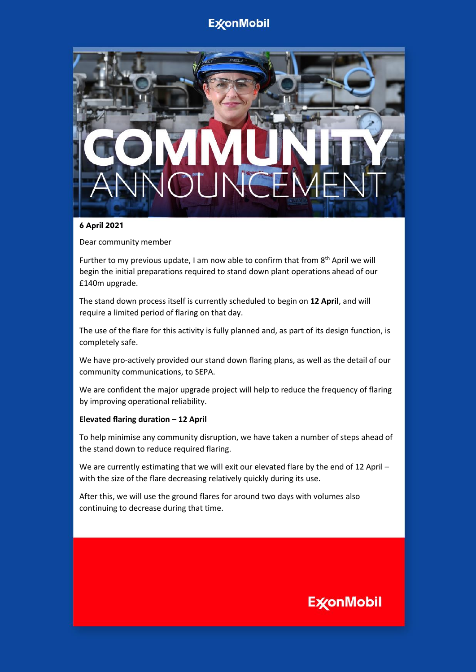## **ExconMobil**



### **6 April 2021**

Dear community member

Further to my previous update, I am now able to confirm that from  $8<sup>th</sup>$  April we will begin the initial preparations required to stand down plant operations ahead of our £140m upgrade.

The stand down process itself is currently scheduled to begin on **12 April**, and will require a limited period of flaring on that day.

The use of the flare for this activity is fully planned and, as part of its design function, is completely safe.

We have pro-actively provided our stand down flaring plans, as well as the detail of our community communications, to SEPA.

We are confident the major upgrade project will help to reduce the frequency of flaring by improving operational reliability.

#### **Elevated flaring duration – 12 April**

To help minimise any community disruption, we have taken a number of steps ahead of the stand down to reduce required flaring.

We are currently estimating that we will exit our elevated flare by the end of 12 April with the size of the flare decreasing relatively quickly during its use.

After this, we will use the ground flares for around two days with volumes also continuing to decrease during that time.

## **ExconMobil**